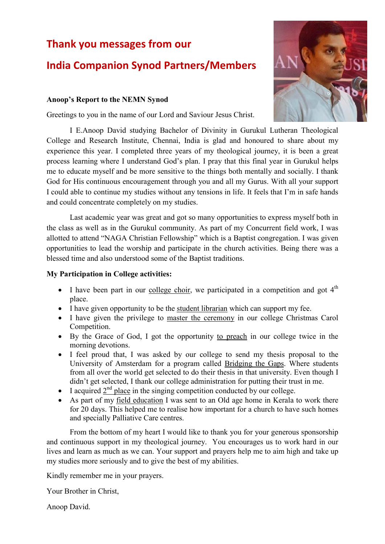# **Thank you messages from our**

# **India Companion Synod Partners/Members**

### **Anoop's Report to the NEMN Synod**

Greetings to you in the name of our Lord and Saviour Jesus Christ.

I E.Anoop David studying Bachelor of Divinity in Gurukul Lutheran Theological College and Research Institute, Chennai, India is glad and honoured to share about my experience this year. I completed three years of my theological journey, it is been a great process learning where I understand God's plan. I pray that this final year in Gurukul helps me to educate myself and be more sensitive to the things both mentally and socially. I thank God for His continuous encouragement through you and all my Gurus. With all your support I could able to continue my studies without any tensions in life. It feels that I'm in safe hands and could concentrate completely on my studies.

Last academic year was great and got so many opportunities to express myself both in the class as well as in the Gurukul community. As part of my Concurrent field work, I was allotted to attend "NAGA Christian Fellowship" which is a Baptist congregation. I was given opportunities to lead the worship and participate in the church activities. Being there was a blessed time and also understood some of the Baptist traditions.

### **My Participation in College activities:**

- I have been part in our college choir, we participated in a competition and got  $4<sup>th</sup>$ place.
- I have given opportunity to be the student librarian which can support my fee.
- I have given the privilege to master the ceremony in our college Christmas Carol Competition.
- By the Grace of God, I got the opportunity to preach in our college twice in the morning devotions.
- I feel proud that, I was asked by our college to send my thesis proposal to the University of Amsterdam for a program called Bridging the Gaps. Where students from all over the world get selected to do their thesis in that university. Even though I didn't get selected, I thank our college administration for putting their trust in me.
- I acquired  $2<sup>nd</sup>$  place in the singing competition conducted by our college.
- As part of my field education I was sent to an Old age home in Kerala to work there for 20 days. This helped me to realise how important for a church to have such homes and specially Palliative Care centres.

From the bottom of my heart I would like to thank you for your generous sponsorship and continuous support in my theological journey. You encourages us to work hard in our lives and learn as much as we can. Your support and prayers help me to aim high and take up my studies more seriously and to give the best of my abilities.

Kindly remember me in your prayers.

Your Brother in Christ,

Anoop David.

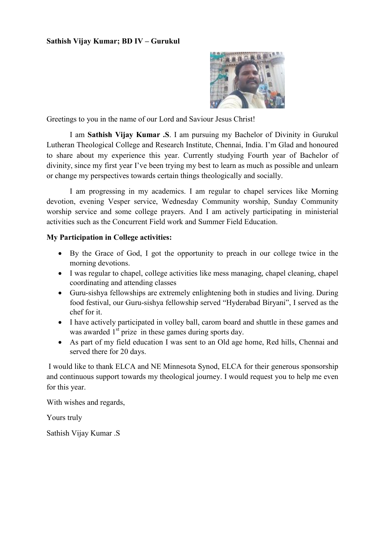

Greetings to you in the name of our Lord and Saviour Jesus Christ!

I am **Sathish Vijay Kumar .S**. I am pursuing my Bachelor of Divinity in Gurukul Lutheran Theological College and Research Institute, Chennai, India. I'm Glad and honoured to share about my experience this year. Currently studying Fourth year of Bachelor of divinity, since my first year I've been trying my best to learn as much as possible and unlearn or change my perspectives towards certain things theologically and socially.

I am progressing in my academics. I am regular to chapel services like Morning devotion, evening Vesper service, Wednesday Community worship, Sunday Community worship service and some college prayers. And I am actively participating in ministerial activities such as the Concurrent Field work and Summer Field Education.

### **My Participation in College activities:**

- By the Grace of God, I got the opportunity to preach in our college twice in the morning devotions.
- I was regular to chapel, college activities like mess managing, chapel cleaning, chapel coordinating and attending classes
- Guru-sishya fellowships are extremely enlightening both in studies and living. During food festival, our Guru-sishya fellowship served "Hyderabad Biryani", I served as the chef for it.
- I have actively participated in volley ball, carom board and shuttle in these games and was awarded  $1<sup>st</sup>$  prize in these games during sports day.
- As part of my field education I was sent to an Old age home, Red hills, Chennai and served there for 20 days.

I would like to thank ELCA and NE Minnesota Synod, ELCA for their generous sponsorship and continuous support towards my theological journey. I would request you to help me even for this year.

With wishes and regards,

Yours truly

Sathish Vijay Kumar .S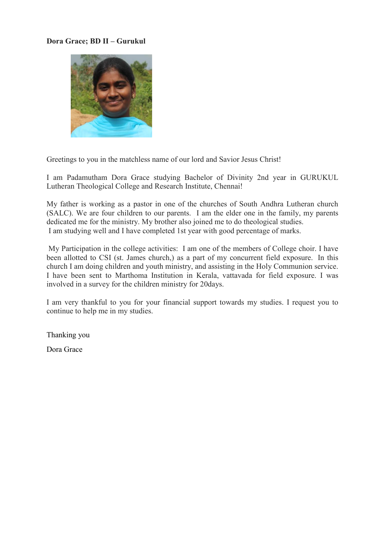## **Dora Grace; BD II – Gurukul**



Greetings to you in the matchless name of our lord and Savior Jesus Christ!

I am Padamutham Dora Grace studying Bachelor of Divinity 2nd year in GURUKUL Lutheran Theological College and Research Institute, Chennai!

My father is working as a pastor in one of the churches of South Andhra Lutheran church (SALC). We are four children to our parents. I am the elder one in the family, my parents dedicated me for the ministry. My brother also joined me to do theological studies. I am studying well and I have completed 1st year with good percentage of marks.

My Participation in the college activities: I am one of the members of College choir. I have been allotted to CSI (st. James church,) as a part of my concurrent field exposure. In this church I am doing children and youth ministry, and assisting in the Holy Communion service. I have been sent to Marthoma Institution in Kerala, vattavada for field exposure. I was involved in a survey for the children ministry for 20days.

I am very thankful to you for your financial support towards my studies. I request you to continue to help me in my studies.

Thanking you

Dora Grace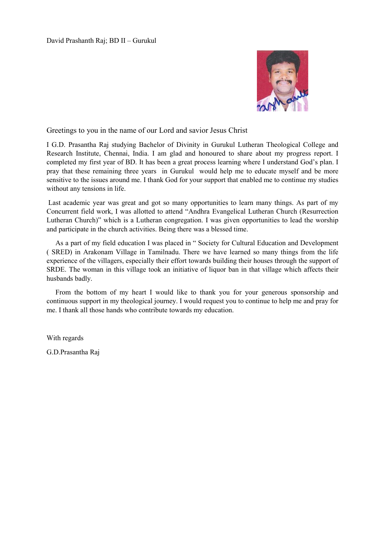

Greetings to you in the name of our Lord and savior Jesus Christ

I G.D. Prasantha Raj studying Bachelor of Divinity in Gurukul Lutheran Theological College and Research Institute, Chennai, India. I am glad and honoured to share about my progress report. I completed my first year of BD. It has been a great process learning where I understand God's plan. I pray that these remaining three years in Gurukul would help me to educate myself and be more sensitive to the issues around me. I thank God for your support that enabled me to continue my studies without any tensions in life.

Last academic year was great and got so many opportunities to learn many things. As part of my Concurrent field work, I was allotted to attend "Andhra Evangelical Lutheran Church (Resurrection Lutheran Church)" which is a Lutheran congregation. I was given opportunities to lead the worship and participate in the church activities. Being there was a blessed time.

 As a part of my field education I was placed in " Society for Cultural Education and Development ( SRED) in Arakonam Village in Tamilnadu. There we have learned so many things from the life experience of the villagers, especially their effort towards building their houses through the support of SRDE. The woman in this village took an initiative of liquor ban in that village which affects their husbands badly.

 From the bottom of my heart I would like to thank you for your generous sponsorship and continuous support in my theological journey. I would request you to continue to help me and pray for me. I thank all those hands who contribute towards my education.

With regards

G.D.Prasantha Raj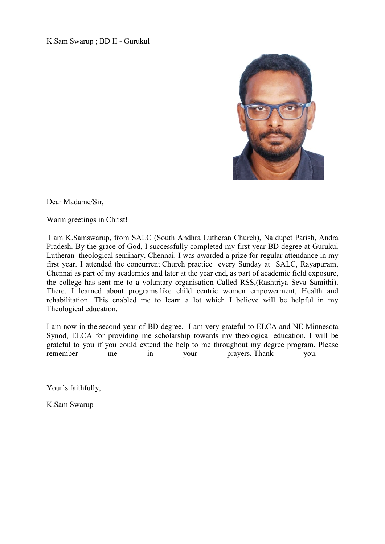K.Sam Swarup ; BD II - Gurukul



Dear Madame/Sir,

Warm greetings in Christ!

I am K.Samswarup, from SALC (South Andhra Lutheran Church), Naidupet Parish, Andra Pradesh. By the grace of God, I successfully completed my first year BD degree at Gurukul Lutheran theological seminary, Chennai. I was awarded a prize for regular attendance in my first year. I attended the concurrent Church practice every Sunday at SALC, Rayapuram, Chennai as part of my academics and later at the year end, as part of academic field exposure, the college has sent me to a voluntary organisation Called RSS,(Rashtriya Seva Samithi). There, I learned about programs like child centric women empowerment, Health and rehabilitation. This enabled me to learn a lot which I believe will be helpful in my Theological education.

I am now in the second year of BD degree. I am very grateful to ELCA and NE Minnesota Synod, ELCA for providing me scholarship towards my theological education. I will be grateful to you if you could extend the help to me throughout my degree program. Please remember me in your prayers. Thank you.

Your's faithfully,

K.Sam Swarup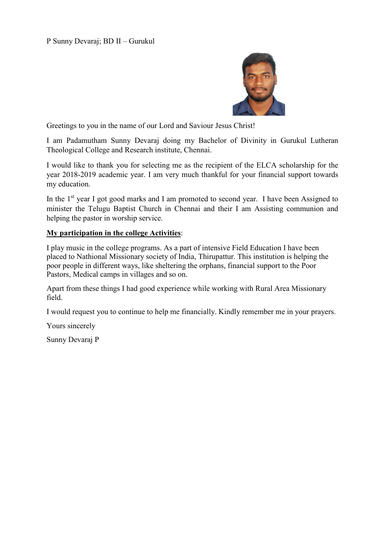

Greetings to you in the name of our Lord and Saviour Jesus Christ!

I am Padamutham Sunny Devaraj doing my Bachelor of Divinity in Gurukul Lutheran Theological College and Research institute, Chennai.

I would like to thank you for selecting me as the recipient of the ELCA scholarship for the year 2018-2019 academic year. I am very much thankful for your financial support towards my education.

In the  $1<sup>st</sup>$  year I got good marks and I am promoted to second year. I have been Assigned to minister the Telugu Baptist Church in Chennai and their I am Assisting communion and helping the pastor in worship service.

### **My participation in the college Activities**:

I play music in the college programs. As a part of intensive Field Education I have been placed to Nathional Missionary society of India, Thirupattur. This institution is helping the poor people in different ways, like sheltering the orphans, financial support to the Poor Pastors, Medical camps in villages and so on.

Apart from these things I had good experience while working with Rural Area Missionary field.

I would request you to continue to help me financially. Kindly remember me in your prayers.

Yours sincerely

Sunny Devaraj P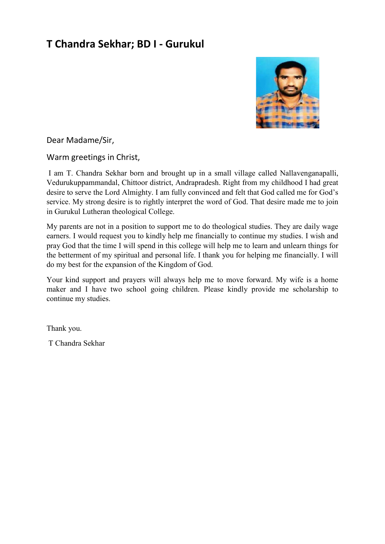# **T Chandra Sekhar; BD I - Gurukul**



Dear Madame/Sir,

Warm greetings in Christ,

I am T. Chandra Sekhar born and brought up in a small village called Nallavenganapalli, Vedurukuppammandal, Chittoor district, Andrapradesh. Right from my childhood I had great desire to serve the Lord Almighty. I am fully convinced and felt that God called me for God's service. My strong desire is to rightly interpret the word of God. That desire made me to join in Gurukul Lutheran theological College.

My parents are not in a position to support me to do theological studies. They are daily wage earners. I would request you to kindly help me financially to continue my studies. I wish and pray God that the time I will spend in this college will help me to learn and unlearn things for the betterment of my spiritual and personal life. I thank you for helping me financially. I will do my best for the expansion of the Kingdom of God.

Your kind support and prayers will always help me to move forward. My wife is a home maker and I have two school going children. Please kindly provide me scholarship to continue my studies.

Thank you.

T Chandra Sekhar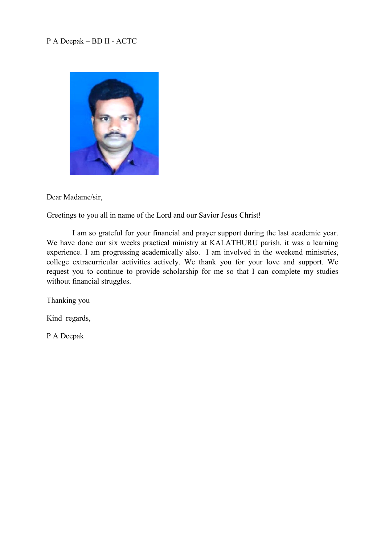## P A Deepak – BD II - ACTC



Dear Madame/sir,

Greetings to you all in name of the Lord and our Savior Jesus Christ!

I am so grateful for your financial and prayer support during the last academic year. We have done our six weeks practical ministry at KALATHURU parish. it was a learning experience. I am progressing academically also. I am involved in the weekend ministries, college extracurricular activities actively. We thank you for your love and support. We request you to continue to provide scholarship for me so that I can complete my studies without financial struggles.

Thanking you

Kind regards,

P A Deepak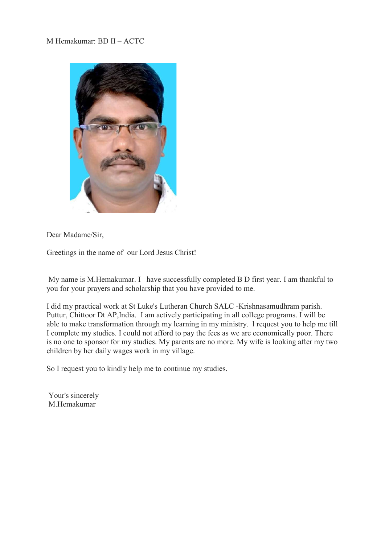M Hemakumar: BD II – ACTC



Dear Madame/Sir,

Greetings in the name of our Lord Jesus Christ!

My name is M.Hemakumar. I have successfully completed B D first year. I am thankful to you for your prayers and scholarship that you have provided to me.

I did my practical work at St Luke's Lutheran Church SALC -Krishnasamudhram parish. Puttur, Chittoor Dt AP,India. I am actively participating in all college programs. I will be able to make transformation through my learning in my ministry. l request you to help me till I complete my studies. I could not afford to pay the fees as we are economically poor. There is no one to sponsor for my studies. My parents are no more. My wife is looking after my two children by her daily wages work in my village.

So I request you to kindly help me to continue my studies.

Your's sincerely M.Hemakumar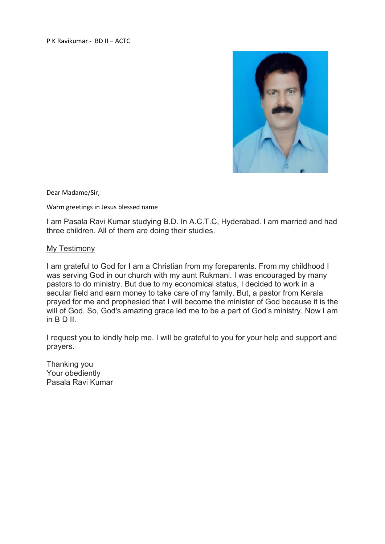P K Ravikumar - BD II – ACTC



Dear Madame/Sir,

Warm greetings in Jesus blessed name

I am Pasala Ravi Kumar studying B.D. In A.C.T.C, Hyderabad. I am married and had three children. All of them are doing their studies.

#### My Testimony

I am grateful to God for I am a Christian from my foreparents. From my childhood I was serving God in our church with my aunt Rukmani. I was encouraged by many pastors to do ministry. But due to my economical status, I decided to work in a secular field and earn money to take care of my family. But, a pastor from Kerala prayed for me and prophesied that I will become the minister of God because it is the will of God. So, God's amazing grace led me to be a part of God's ministry. Now I am in B D II.

I request you to kindly help me. I will be grateful to you for your help and support and prayers.

Thanking you Your obediently Pasala Ravi Kumar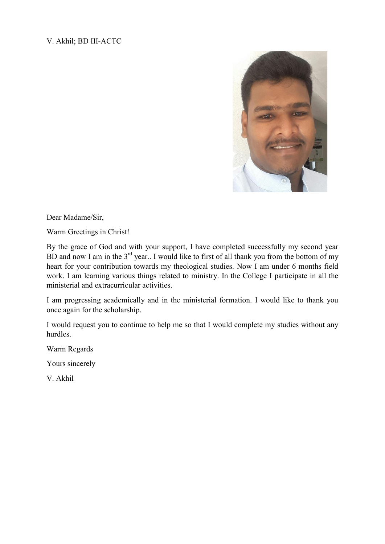## V. Akhil; BD III-ACTC



Dear Madame/Sir,

Warm Greetings in Christ!

By the grace of God and with your support, I have completed successfully my second year BD and now I am in the  $3^{rd}$  year.. I would like to first of all thank you from the bottom of my heart for your contribution towards my theological studies. Now I am under 6 months field work. I am learning various things related to ministry. In the College I participate in all the ministerial and extracurricular activities.

I am progressing academically and in the ministerial formation. I would like to thank you once again for the scholarship.

I would request you to continue to help me so that I would complete my studies without any hurdles.

Warm Regards

Yours sincerely

V. Akhil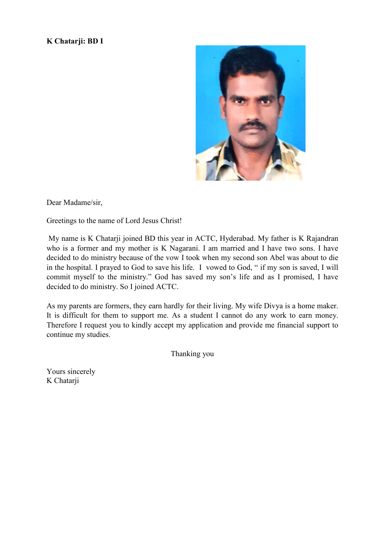### **K Chatarji: BD I**



Dear Madame/sir,

Greetings to the name of Lord Jesus Christ!

My name is K Chatarji joined BD this year in ACTC, Hyderabad. My father is K Rajandran who is a former and my mother is K Nagarani. I am married and I have two sons. I have decided to do ministry because of the vow I took when my second son Abel was about to die in the hospital. I prayed to God to save his life. I vowed to God, " if my son is saved, I will commit myself to the ministry." God has saved my son's life and as I promised, I have decided to do ministry. So I joined ACTC.

As my parents are formers, they earn hardly for their living. My wife Divya is a home maker. It is difficult for them to support me. As a student I cannot do any work to earn money. Therefore I request you to kindly accept my application and provide me financial support to continue my studies.

Thanking you

Yours sincerely K Chatarji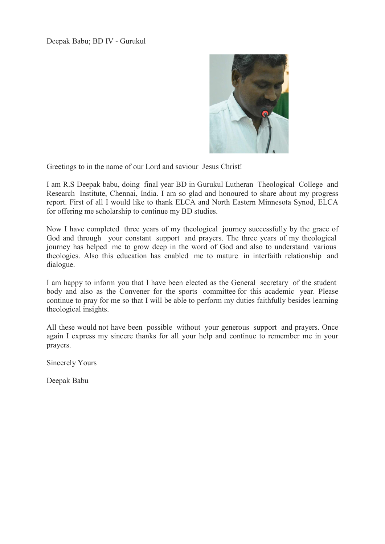

Greetings to in the name of our Lord and saviour Jesus Christ!

I am R.S Deepak babu, doing final year BD in Gurukul Lutheran Theological College and Research Institute, Chennai, India. I am so glad and honoured to share about my progress report. First of all I would like to thank ELCA and North Eastern Minnesota Synod, ELCA for offering me scholarship to continue my BD studies.

Now I have completed three years of my theological journey successfully by the grace of God and through your constant support and prayers. The three years of my theological journey has helped me to grow deep in the word of God and also to understand various theologies. Also this education has enabled me to mature in interfaith relationship and dialogue.

I am happy to inform you that I have been elected as the General secretary of the student body and also as the Convener for the sports committee for this academic year. Please continue to pray for me so that I will be able to perform my duties faithfully besides learning theological insights.

All these would not have been possible without your generous support and prayers. Once again I express my sincere thanks for all your help and continue to remember me in your prayers.

Sincerely Yours

Deepak Babu